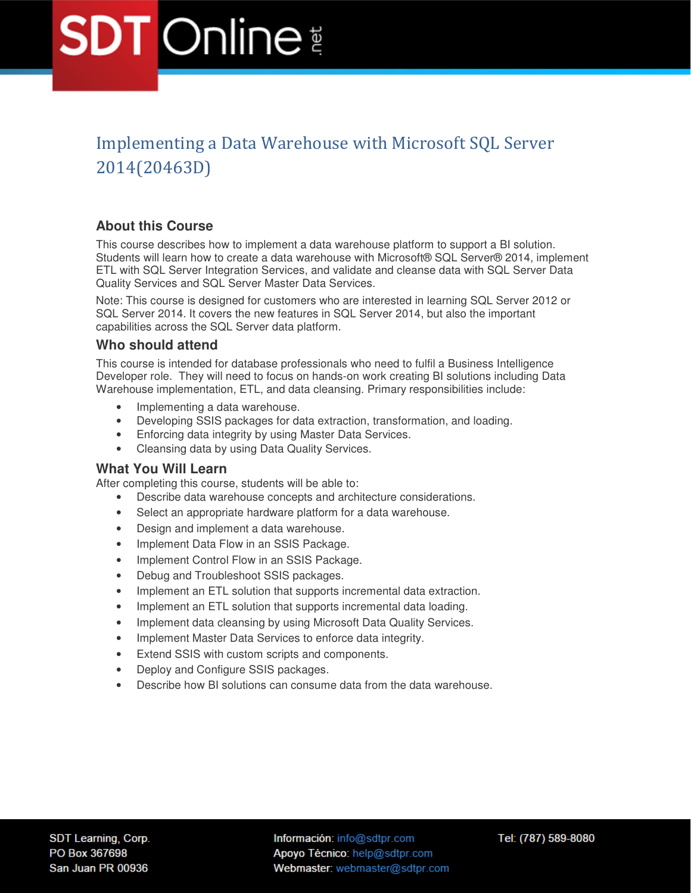### Implementing a Data Warehouse with Microsoft SQL Server 2014(20463D)

### **About this Course**

This course describes how to implement a data warehouse platform to support a BI solution. Students will learn how to create a data warehouse with Microsoft® SQL Server® 2014, implement ETL with SQL Server Integration Services, and validate and cleanse data with SQL Server Data Quality Services and SQL Server Master Data Services.

Note: This course is designed for customers who are interested in learning SQL Server 2012 or SQL Server 2014. It covers the new features in SQL Server 2014, but also the important capabilities across the SQL Server data platform.

### **Who should attend**

This course is intended for database professionals who need to fulfil a Business Intelligence Developer role. They will need to focus on hands-on work creating BI solutions including Data Warehouse implementation, ETL, and data cleansing. Primary responsibilities include:

- Implementing a data warehouse.
- Developing SSIS packages for data extraction, transformation, and loading.
- Enforcing data integrity by using Master Data Services.
- Cleansing data by using Data Quality Services.

#### **What You Will Learn**

After completing this course, students will be able to:

- Describe data warehouse concepts and architecture considerations.
- Select an appropriate hardware platform for a data warehouse.
- Design and implement a data warehouse.
- Implement Data Flow in an SSIS Package.
- Implement Control Flow in an SSIS Package.
- Debug and Troubleshoot SSIS packages.
- Implement an ETL solution that supports incremental data extraction.
- Implement an ETL solution that supports incremental data loading.
- Implement data cleansing by using Microsoft Data Quality Services.
- Implement Master Data Services to enforce data integrity.
- Extend SSIS with custom scripts and components.
- Deploy and Configure SSIS packages.
- Describe how BI solutions can consume data from the data warehouse.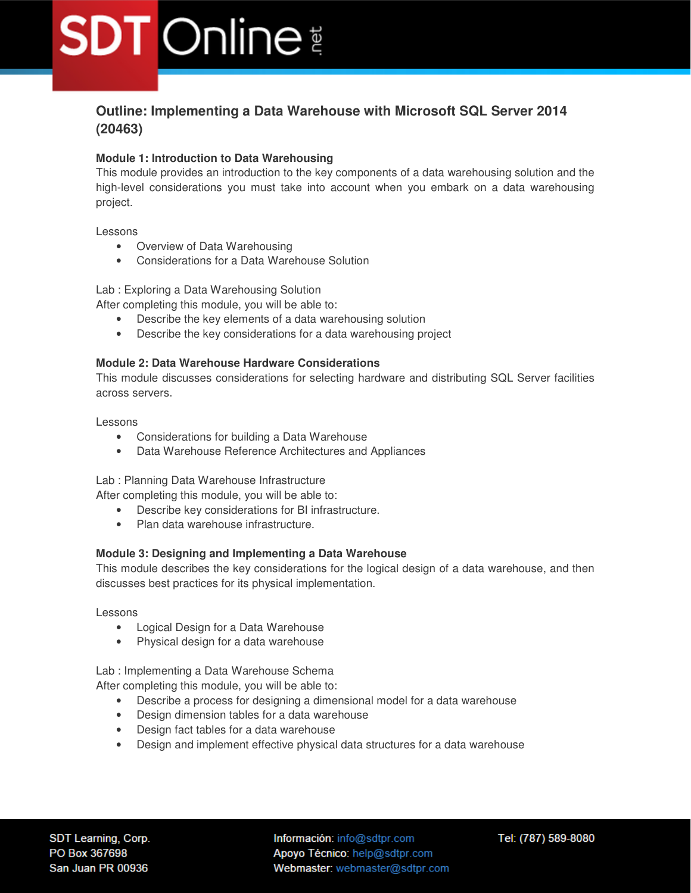### **Outline: Implementing a Data Warehouse with Microsoft SQL Server 2014 (20463)**

#### **Module 1: Introduction to Data Warehousing**

This module provides an introduction to the key components of a data warehousing solution and the high-level considerations you must take into account when you embark on a data warehousing project.

Lessons

- Overview of Data Warehousing
- Considerations for a Data Warehouse Solution

Lab : Exploring a Data Warehousing Solution

After completing this module, you will be able to:

- Describe the key elements of a data warehousing solution
- Describe the key considerations for a data warehousing project

#### **Module 2: Data Warehouse Hardware Considerations**

This module discusses considerations for selecting hardware and distributing SQL Server facilities across servers.

Lessons

- Considerations for building a Data Warehouse
- Data Warehouse Reference Architectures and Appliances

Lab : Planning Data Warehouse Infrastructure

After completing this module, you will be able to:

- Describe key considerations for BI infrastructure.
- Plan data warehouse infrastructure.

#### **Module 3: Designing and Implementing a Data Warehouse**

This module describes the key considerations for the logical design of a data warehouse, and then discusses best practices for its physical implementation.

Lessons

- Logical Design for a Data Warehouse
- Physical design for a data warehouse

Lab : Implementing a Data Warehouse Schema

After completing this module, you will be able to:

- Describe a process for designing a dimensional model for a data warehouse
- Design dimension tables for a data warehouse
- Design fact tables for a data warehouse
- Design and implement effective physical data structures for a data warehouse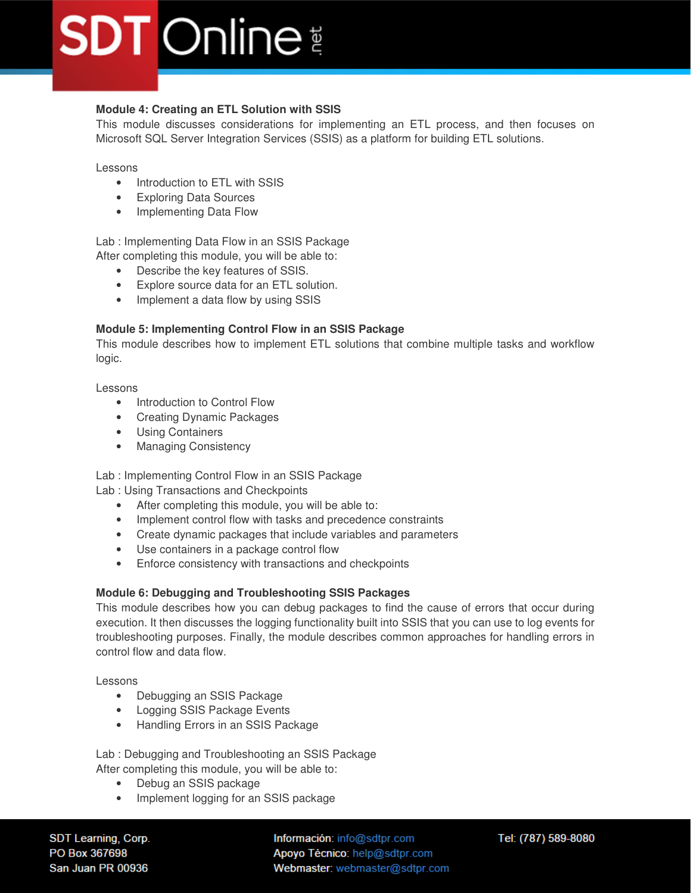### **Module 4: Creating an ETL Solution with SSIS**

This module discusses considerations for implementing an ETL process, and then focuses on Microsoft SQL Server Integration Services (SSIS) as a platform for building ETL solutions.

#### Lessons

- Introduction to ETL with SSIS
- Exploring Data Sources
- Implementing Data Flow

Lab : Implementing Data Flow in an SSIS Package

- After completing this module, you will be able to:
	- Describe the key features of SSIS.
	- Explore source data for an ETL solution.
	- Implement a data flow by using SSIS

#### **Module 5: Implementing Control Flow in an SSIS Package**

This module describes how to implement ETL solutions that combine multiple tasks and workflow logic.

Lessons

- Introduction to Control Flow
- Creating Dynamic Packages
- Using Containers
- Managing Consistency

Lab : Implementing Control Flow in an SSIS Package

Lab : Using Transactions and Checkpoints

- After completing this module, you will be able to:
- Implement control flow with tasks and precedence constraints
- Create dynamic packages that include variables and parameters
- Use containers in a package control flow
- Enforce consistency with transactions and checkpoints

#### **Module 6: Debugging and Troubleshooting SSIS Packages**

This module describes how you can debug packages to find the cause of errors that occur during execution. It then discusses the logging functionality built into SSIS that you can use to log events for troubleshooting purposes. Finally, the module describes common approaches for handling errors in control flow and data flow.

Lessons

- Debugging an SSIS Package
- Logging SSIS Package Events
- Handling Errors in an SSIS Package

Lab : Debugging and Troubleshooting an SSIS Package After completing this module, you will be able to:

- Debug an SSIS package
- Implement logging for an SSIS package

SDT Learning, Corp. PO Box 367698 San Juan PR 00936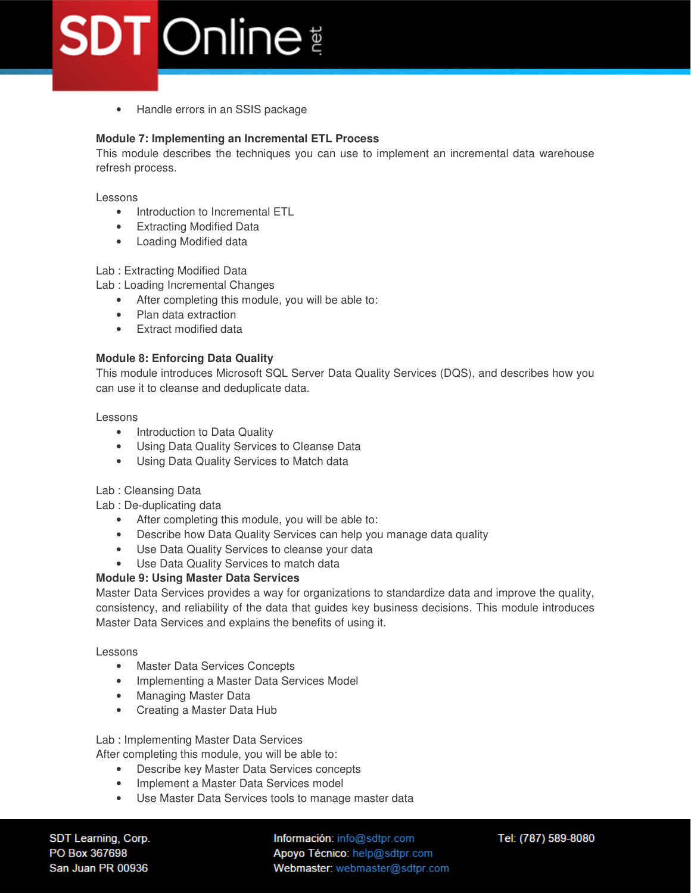• Handle errors in an SSIS package

#### **Module 7: Implementing an Incremental ETL Process**

This module describes the techniques you can use to implement an incremental data warehouse refresh process.

Lessons

- Introduction to Incremental ETL
- Extracting Modified Data
- Loading Modified data

#### Lab : Extracting Modified Data

Lab : Loading Incremental Changes

- After completing this module, you will be able to:
- Plan data extraction
- Extract modified data

#### **Module 8: Enforcing Data Quality**

This module introduces Microsoft SQL Server Data Quality Services (DQS), and describes how you can use it to cleanse and deduplicate data.

#### Lessons

- Introduction to Data Quality
- Using Data Quality Services to Cleanse Data
- Using Data Quality Services to Match data

Lab : Cleansing Data

Lab : De-duplicating data

- After completing this module, you will be able to:
- Describe how Data Quality Services can help you manage data quality
- Use Data Quality Services to cleanse your data
- Use Data Quality Services to match data

#### **Module 9: Using Master Data Services**

Master Data Services provides a way for organizations to standardize data and improve the quality, consistency, and reliability of the data that guides key business decisions. This module introduces Master Data Services and explains the benefits of using it.

Lessons

- Master Data Services Concepts
- Implementing a Master Data Services Model
- Managing Master Data
- Creating a Master Data Hub

Lab : Implementing Master Data Services

After completing this module, you will be able to:

- Describe key Master Data Services concepts
- Implement a Master Data Services model
- Use Master Data Services tools to manage master data

SDT Learning, Corp. PO Box 367698 San Juan PR 00936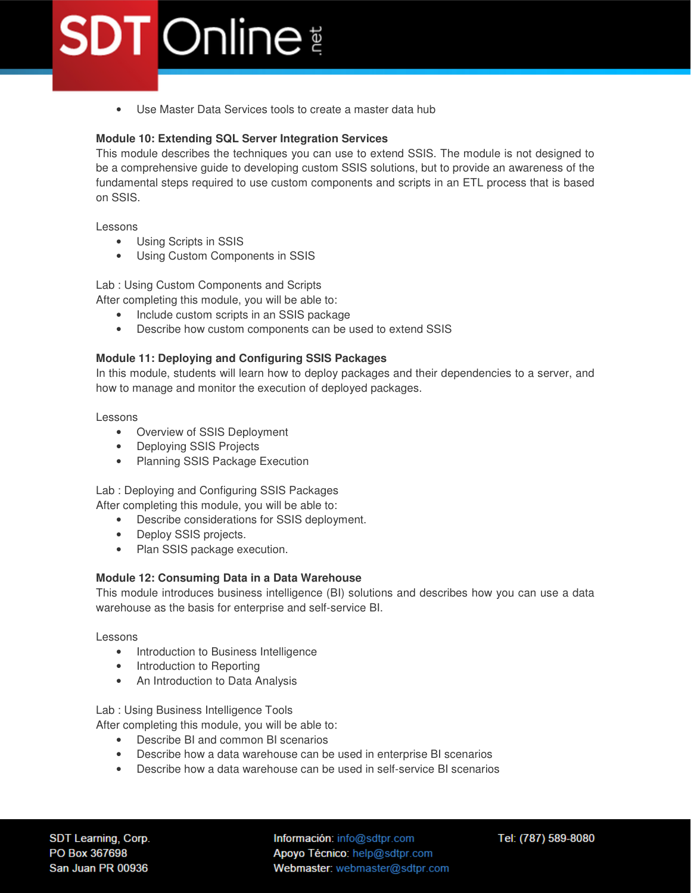• Use Master Data Services tools to create a master data hub

#### **Module 10: Extending SQL Server Integration Services**

This module describes the techniques you can use to extend SSIS. The module is not designed to be a comprehensive guide to developing custom SSIS solutions, but to provide an awareness of the fundamental steps required to use custom components and scripts in an ETL process that is based on SSIS.

Lessons

- Using Scripts in SSIS
- Using Custom Components in SSIS

Lab : Using Custom Components and Scripts

After completing this module, you will be able to:

- Include custom scripts in an SSIS package
- Describe how custom components can be used to extend SSIS

#### **Module 11: Deploying and Configuring SSIS Packages**

In this module, students will learn how to deploy packages and their dependencies to a server, and how to manage and monitor the execution of deployed packages.

Lessons

- Overview of SSIS Deployment
- Deploying SSIS Projects
- Planning SSIS Package Execution

Lab : Deploying and Configuring SSIS Packages

After completing this module, you will be able to:

- Describe considerations for SSIS deployment.
- Deploy SSIS projects.
- Plan SSIS package execution.

#### **Module 12: Consuming Data in a Data Warehouse**

This module introduces business intelligence (BI) solutions and describes how you can use a data warehouse as the basis for enterprise and self-service BI.

Lessons

- Introduction to Business Intelligence
- Introduction to Reporting
- An Introduction to Data Analysis

Lab : Using Business Intelligence Tools

After completing this module, you will be able to:

- Describe BI and common BI scenarios
- Describe how a data warehouse can be used in enterprise BI scenarios
- Describe how a data warehouse can be used in self-service BI scenarios